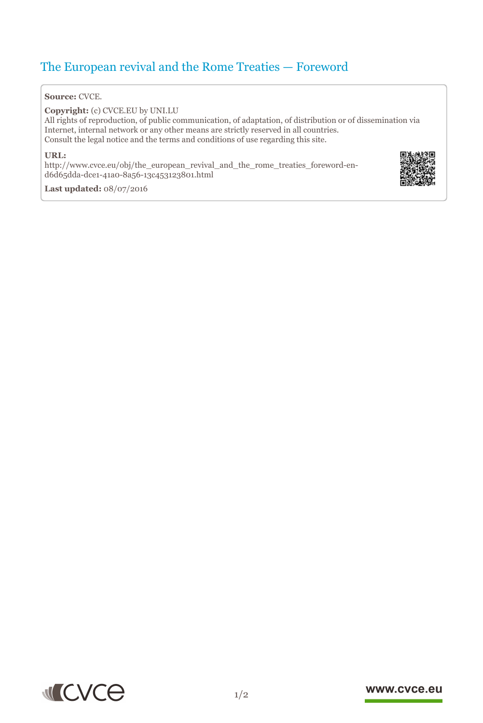# The European revival and the Rome Treaties — Foreword

#### **Source:** CVCE.

**Copyright:** (c) CVCE.EU by UNI.LU

All rights of reproduction, of public communication, of adaptation, of distribution or of dissemination via Internet, internal network or any other means are strictly reserved in all countries. Consult the legal notice and the terms and conditions of use regarding this site.

#### **URL:**

http://www.cvce.eu/obj/the\_european\_revival\_and\_the\_rome\_treaties\_foreword-end6d[65dda-dce1-41a0-8a56-13c453123801.html](http://www.cvce.eu/obj/the_european_revival_and_the_rome_treaties_foreword-en-d6d65dda-dce1-41a0-8a56-13c453123801.html)



**Las[t updated:](http://www.cvce.eu/obj/the_european_revival_and_the_rome_treaties_foreword-en-d6d65dda-dce1-41a0-8a56-13c453123801.html)** 08/07/2016



## www.cvce.eu